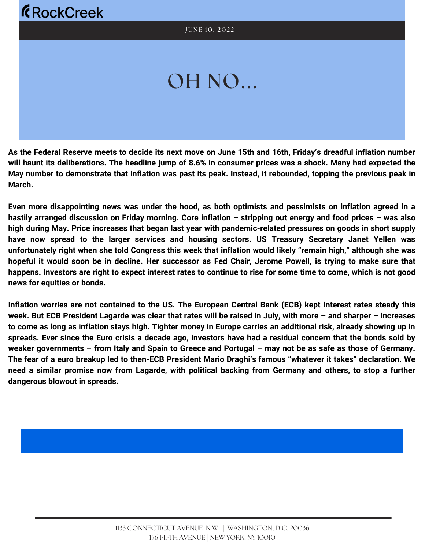# OH NO...

As the Federal Reserve meets to decide its next move on June 15th and 16th, Friday's dreadful inflation number will haunt its deliberations. The headline jump of 8.6% in consumer prices was a shock. Many had expected the May number to demonstrate that inflation was past its peak. Instead, it rebounded, topping the previous peak in **March.**

Even more disappointing news was under the hood, as both optimists and pessimists on inflation agreed in a hastily arranged discussion on Friday morning. Core inflation - stripping out energy and food prices - was also high during May. Price increases that began last year with pandemic-related pressures on goods in short supply **have now spread to the larger services and housing sectors. US Treasury Secretary Janet Yellen was** unfortunately right when she told [Congress](https://www.youtube.com/watch?v=G5_1Gj9BODc) this week that inflation would likely "remain high," although she was hopeful it would soon be in decline. Her successor as Fed Chair, Jerome Powell, is trying to make sure that happens. Investors are right to expect interest rates to continue to rise for some time to come, which is not good **news for equities or bonds.**

Inflation worries are not contained to the US. The European Central Bank (ECB) kept interest rates steady this week. But ECB President Lagarde was clear that rates will be raised in July, with more - and sharper - increases to come as long as inflation stays high. Tighter money in Europe carries an additional risk, already showing up in spreads. Ever since the Euro crisis a decade ago, investors have had a residual concern that the bonds sold by weaker governments - from Italy and Spain to Greece and Portugal - may not be as safe as those of Germany. The fear of a euro breakup led to then-ECB President Mario Draghi's famous "whatever it takes" declaration. We need a similar promise now from Lagarde, with political backing from Germany and others, to stop a further **dangerous blowout in spreads.**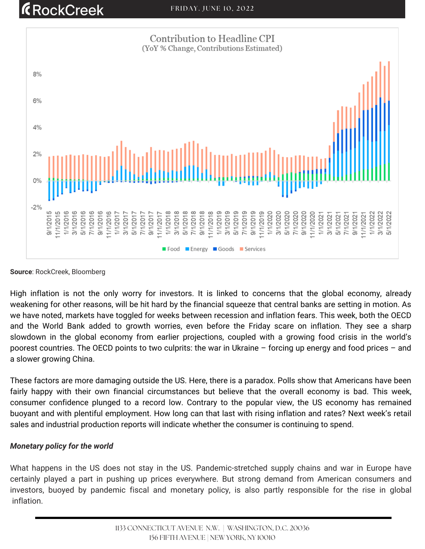## **RockCreek**



**Source**: RockCreek, Bloomberg

High inflation is not the only worry for investors. It is linked to concerns that the global economy, already weakening for other reasons, will be hit hard by the financial squeeze that central banks are setting in motion. As we have noted, markets have toggled for weeks between recession and inflation fears. This week, both the OECD and the World Bank added to growth worries, even before the Friday scare on inflation. They see a sharp slowdown in the global economy from earlier projections, coupled with a growing food crisis in the world's poorest countries. The OECD points to two culprits: the war in Ukraine – forcing up energy and food prices – and a slower growing China.

These factors are more damaging outside the US. Here, there is a paradox. Polls show that Americans have been fairly happy with their own financial circumstances but believe that the overall economy is bad. This week, consumer confidence plunged to a record low. Contrary to the popular view, the US economy has remained buoyant and with plentiful employment. How long can that last with rising inflation and rates? Next week's retail sales and industrial production reports will indicate whether the consumer is continuing to spend.

#### *Monetary policy for the world*

What happens in the US does not stay in the US. Pandemic-stretched supply chains and war in Europe have certainly played a part in pushing up prices everywhere. But strong demand from American consumers and investors, buoyed by pandemic fiscal and monetary policy, is also partly responsible for the rise in global inflation.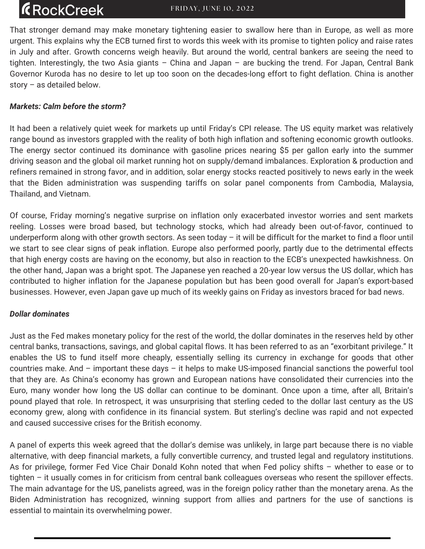### **ÆRockCreek**

That stronger demand may make monetary tightening easier to swallow here than in Europe, as well as more urgent. This explains why the ECB turned first to words this week with its promise to tighten policy and raise rates in July and after. Growth concerns weigh heavily. But around the world, central bankers are seeing the need to tighten. Interestingly, the two Asia giants – China and Japan – are bucking the trend. For Japan, Central Bank Governor Kuroda has no desire to let up too soon on the decades-long effort to fight deflation. China is another story – as detailed below.

#### *Markets: Calm before the storm?*

It had been a relatively quiet week for markets up until Friday's CPI release. The US equity market was relatively range bound as investors grappled with the reality of both high inflation and softening economic growth outlooks. The energy sector continued its dominance with gasoline prices nearing \$5 per gallon early into the summer driving season and the global oil market running hot on supply/demand imbalances. Exploration & production and refiners remained in strong favor, and in addition, solar energy stocks reacted positively to news early in the week that the Biden administration was suspending tariffs on solar panel components from Cambodia, Malaysia, Thailand, and Vietnam.

Of course, Friday morning's negative surprise on inflation only exacerbated investor worries and sent markets reeling. Losses were broad based, but technology stocks, which had already been out-of-favor, continued to underperform along with other growth sectors. As seen today – it will be difficult for the market to find a floor until we start to see clear signs of peak inflation. Europe also performed poorly, partly due to the detrimental effects that high energy costs are having on the economy, but also in reaction to the ECB's unexpected hawkishness. On the other hand, Japan was a bright spot. The Japanese yen reached a 20-year low versus the US dollar, which has contributed to higher inflation for the Japanese population but has been good overall for Japan's export-based businesses. However, even Japan gave up much of its weekly gains on Friday as investors braced for bad news.

#### *Dollar dominates*

Just as the Fed makes monetary policy for the rest of the world, the dollar dominates in the reserves held by other central banks, transactions, savings, and global capital flows. It has been referred to as an "exorbitant privilege." It enables the US to fund itself more cheaply, essentially selling its currency in exchange for goods that other countries make. And – important these days – it helps to make US-imposed financial sanctions the powerful tool that they are. As China's economy has grown and European nations have consolidated their currencies into the Euro, many wonder how long the US dollar can continue to be dominant. Once upon a time, after all, Britain's pound played that role. In retrospect, it was unsurprising that sterling ceded to the dollar last century as the US economy grew, along with confidence in its financial system. But sterling's decline was rapid and not expected and caused successive crises for the British economy.

A panel of [experts](https://www.brookings.edu/events/the-future-of-the-us-dollar-are-its-days-as-the-worlds-dominant-currency-numbered/?utm_campaign=Events%3A%20Economic%20Studies&utm_medium=email&utm_content=214109340&utm_source=hs_automation) this week agreed that the dollar's demise was unlikely, in large part because there is no viable alternative, with deep financial markets, a fully convertible currency, and trusted legal and regulatory institutions. As for privilege, former Fed Vice Chair Donald Kohn noted that when Fed policy shifts – whether to ease or to tighten – it usually comes in for criticism from central bank colleagues overseas who resent the spillover effects. The main advantage for the US, panelists agreed, was in the foreign policy rather than the monetary arena. As the Biden Administration has recognized, winning support from allies and partners for the use of sanctions is essential to maintain its overwhelming power.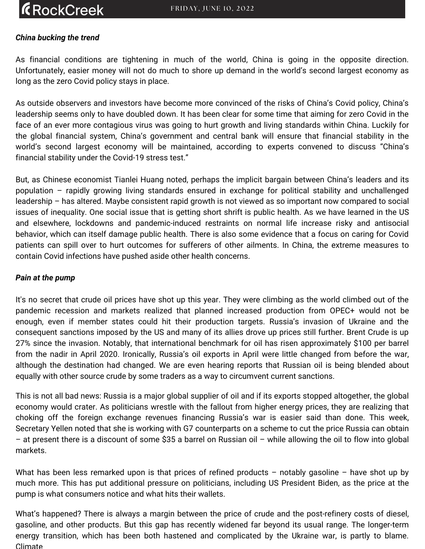### **ÆRockCreek**

### *China bucking the trend*

As financial conditions are tightening in much of the world, China is going in the opposite direction. Unfortunately, easier money will not do much to shore up demand in the world's second largest economy as long as the zero Covid policy stays in place.

As outside observers and investors have become more convinced of the risks of China's Covid policy, China's leadership seems only to have doubled down. It has been clear for some time that aiming for zero Covid in the face of an ever more contagious virus was going to hurt growth and living standards within China. Luckily for the global financial system, China's government and central bank will ensure that financial stability in the world's second largest economy will be [maintained,](https://www.piie.com/events/chinas-financial-stability-under-covid-19-stress-test) according to experts convened to discuss "China's financial stability under the Covid-19 stress test."

But, as Chinese economist Tianlei Huang noted, perhaps the implicit bargain between China's leaders and its population – rapidly growing living standards ensured in exchange for political stability and unchallenged leadership – has altered. Maybe consistent rapid growth is not viewed as so important now compared to social issues of inequality. One social issue that is getting short shrift is public health. As we have learned in the US and elsewhere, lockdowns and pandemic-induced restraints on normal life increase risky and antisocial behavior, which can itself damage public health. There is also some evidence that a focus on caring for Covid patients can spill over to hurt outcomes for sufferers of other ailments. In China, the extreme measures to contain Covid infections have pushed aside other health concerns.

#### *Pain at the pump*

It's no secret that crude oil prices have shot up this year. They were climbing as the world climbed out of the pandemic recession and markets realized that planned increased production from OPEC+ would not be enough, even if member states could hit their production targets. Russia's invasion of Ukraine and the consequent sanctions imposed by the US and many of its allies drove up prices still further. Brent Crude is up 27% since the invasion. Notably, that international benchmark for oil has risen approximately \$100 per barrel from the nadir in April 2020. Ironically, Russia's oil exports in April were little changed from before the war, although the destination had changed. We are even hearing reports that Russian oil is being blended about equally with other source crude by some traders as a way to circumvent current sanctions.

This is not all bad news: Russia is a major global supplier of oil and if its exports stopped altogether, the global economy would crater. As politicians wrestle with the fallout from higher energy prices, they are realizing that choking off the foreign exchange revenues financing Russia's war is easier said than done. This week, Secretary Yellen noted that she is working with G7 counterparts on a scheme to cut the price Russia can obtain – at present there is a discount of some \$35 a barrel on Russian oil – while allowing the oil to flow into global markets.

What has been less remarked upon is that prices of refined products – notably gasoline – have shot up by much more. This has put additional pressure on politicians, including US President Biden, as the price at the pump is what consumers notice and what hits their wallets.

What's happened? There is always a margin between the price of crude and the post-refinery costs of diesel, gasoline, and other products. But this gap has recently widened far beyond its usual range. The longer-term energy transition, which has been both hastened and complicated by the Ukraine war, is partly to blame. Climate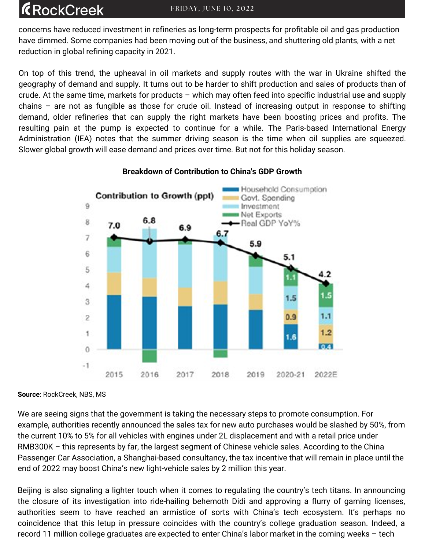### **R**ockCreek

concerns have reduced investment in refineries as long-term prospects for profitable oil and gas production have dimmed. Some companies had been moving out of the business, and shuttering old plants, with a net reduction in global refining capacity in 2021.

On top of this trend, the upheaval in oil markets and supply routes with the war in Ukraine shifted the geography of demand and supply. It turns out to be harder to shift production and sales of products than of crude. At the same time, markets for products – which may often feed into specific industrial use and supply chains – are not as fungible as those for crude oil. Instead of increasing output in response to shifting demand, older refineries that can supply the right markets have been boosting prices and profits. The resulting pain at the pump is expected to continue for a while. The Paris-based International Energy Administration (IEA) notes that the summer driving season is the time when oil supplies are squeezed. Slower global growth will ease demand and prices over time. But not for this holiday season.



### **Breakdown of Contribution to China's GDP Growth**

**Source**: RockCreek, NBS, MS

We are seeing signs that the government is taking the necessary steps to promote consumption. For example, authorities recently announced the sales tax for new auto purchases would be slashed by 50%, from the current 10% to 5% for all vehicles with engines under 2L displacement and with a retail price under RMB300K – this represents by far, the largest segment of Chinese vehicle sales. According to the China Passenger Car Association, a Shanghai-based consultancy, the tax incentive that will remain in place until the end of 2022 may boost China's new light-vehicle sales by 2 million this year.

Beijing is also signaling a lighter touch when it comes to regulating the country's tech titans. In announcing the closure of its investigation into ride-hailing behemoth Didi and approving a flurry of gaming licenses, authorities seem to have reached an armistice of sorts with China's tech ecosystem. It's perhaps no coincidence that this letup in pressure coincides with the country's college graduation season. Indeed, a record 11 million college graduates are expected to enter China's labor market in the coming weeks – tech